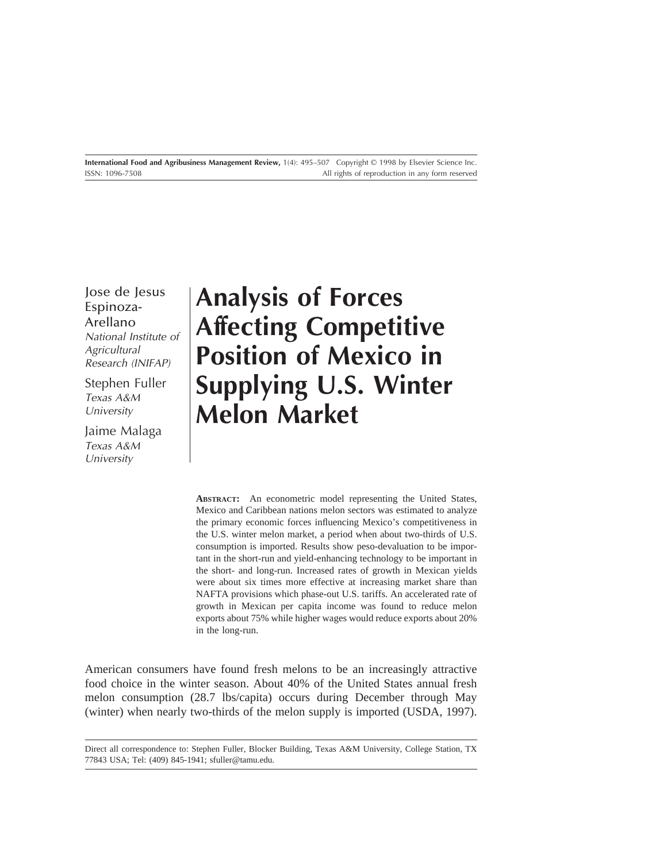Jose de Jesus Espinoza-Arellano National Institute of **Agricultural** Research (INIFAP)

Stephen Fuller Texas A&M University

Jaime Malaga Texas A&M University

# **Analysis of Forces Affecting Competitive Position of Mexico in Supplying U.S. Winter Melon Market**

**ABSTRACT:** An econometric model representing the United States, Mexico and Caribbean nations melon sectors was estimated to analyze the primary economic forces influencing Mexico's competitiveness in the U.S. winter melon market, a period when about two-thirds of U.S. consumption is imported. Results show peso-devaluation to be important in the short-run and yield-enhancing technology to be important in the short- and long-run. Increased rates of growth in Mexican yields were about six times more effective at increasing market share than NAFTA provisions which phase-out U.S. tariffs. An accelerated rate of growth in Mexican per capita income was found to reduce melon exports about 75% while higher wages would reduce exports about 20% in the long-run.

American consumers have found fresh melons to be an increasingly attractive food choice in the winter season. About 40% of the United States annual fresh melon consumption (28.7 lbs/capita) occurs during December through May (winter) when nearly two-thirds of the melon supply is imported (USDA, 1997).

Direct all correspondence to: Stephen Fuller, Blocker Building, Texas A&M University, College Station, TX 77843 USA; Tel: (409) 845-1941; sfuller@tamu.edu.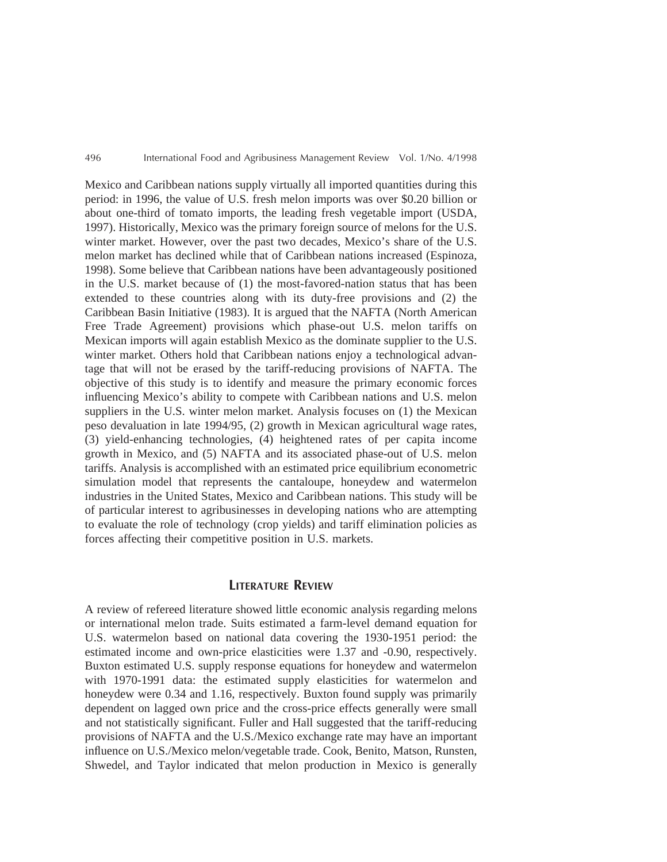Mexico and Caribbean nations supply virtually all imported quantities during this period: in 1996, the value of U.S. fresh melon imports was over \$0.20 billion or about one-third of tomato imports, the leading fresh vegetable import (USDA, 1997). Historically, Mexico was the primary foreign source of melons for the U.S. winter market. However, over the past two decades, Mexico's share of the U.S. melon market has declined while that of Caribbean nations increased (Espinoza, 1998). Some believe that Caribbean nations have been advantageously positioned in the U.S. market because of (1) the most-favored-nation status that has been extended to these countries along with its duty-free provisions and (2) the Caribbean Basin Initiative (1983). It is argued that the NAFTA (North American Free Trade Agreement) provisions which phase-out U.S. melon tariffs on Mexican imports will again establish Mexico as the dominate supplier to the U.S. winter market. Others hold that Caribbean nations enjoy a technological advantage that will not be erased by the tariff-reducing provisions of NAFTA. The objective of this study is to identify and measure the primary economic forces influencing Mexico's ability to compete with Caribbean nations and U.S. melon suppliers in the U.S. winter melon market. Analysis focuses on (1) the Mexican peso devaluation in late 1994/95, (2) growth in Mexican agricultural wage rates, (3) yield-enhancing technologies, (4) heightened rates of per capita income growth in Mexico, and (5) NAFTA and its associated phase-out of U.S. melon tariffs. Analysis is accomplished with an estimated price equilibrium econometric simulation model that represents the cantaloupe, honeydew and watermelon industries in the United States, Mexico and Caribbean nations. This study will be of particular interest to agribusinesses in developing nations who are attempting to evaluate the role of technology (crop yields) and tariff elimination policies as forces affecting their competitive position in U.S. markets.

# **LITERATURE REVIEW**

A review of refereed literature showed little economic analysis regarding melons or international melon trade. Suits estimated a farm-level demand equation for U.S. watermelon based on national data covering the 1930-1951 period: the estimated income and own-price elasticities were 1.37 and -0.90, respectively. Buxton estimated U.S. supply response equations for honeydew and watermelon with 1970-1991 data: the estimated supply elasticities for watermelon and honeydew were 0.34 and 1.16, respectively. Buxton found supply was primarily dependent on lagged own price and the cross-price effects generally were small and not statistically significant. Fuller and Hall suggested that the tariff-reducing provisions of NAFTA and the U.S./Mexico exchange rate may have an important influence on U.S./Mexico melon/vegetable trade. Cook, Benito, Matson, Runsten, Shwedel, and Taylor indicated that melon production in Mexico is generally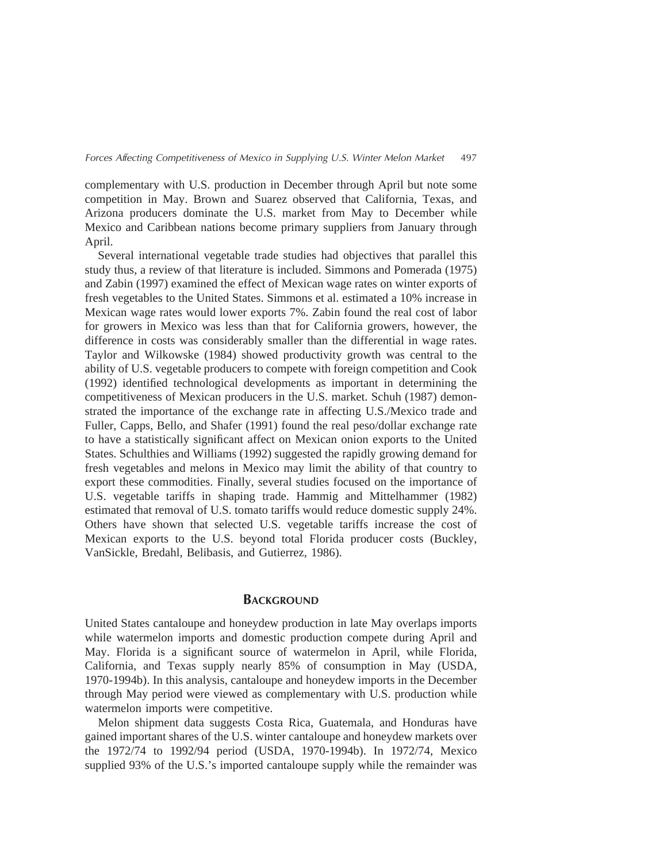complementary with U.S. production in December through April but note some competition in May. Brown and Suarez observed that California, Texas, and Arizona producers dominate the U.S. market from May to December while Mexico and Caribbean nations become primary suppliers from January through April.

Several international vegetable trade studies had objectives that parallel this study thus, a review of that literature is included. Simmons and Pomerada (1975) and Zabin (1997) examined the effect of Mexican wage rates on winter exports of fresh vegetables to the United States. Simmons et al. estimated a 10% increase in Mexican wage rates would lower exports 7%. Zabin found the real cost of labor for growers in Mexico was less than that for California growers, however, the difference in costs was considerably smaller than the differential in wage rates. Taylor and Wilkowske (1984) showed productivity growth was central to the ability of U.S. vegetable producers to compete with foreign competition and Cook (1992) identified technological developments as important in determining the competitiveness of Mexican producers in the U.S. market. Schuh (1987) demonstrated the importance of the exchange rate in affecting U.S./Mexico trade and Fuller, Capps, Bello, and Shafer (1991) found the real peso/dollar exchange rate to have a statistically significant affect on Mexican onion exports to the United States. Schulthies and Williams (1992) suggested the rapidly growing demand for fresh vegetables and melons in Mexico may limit the ability of that country to export these commodities. Finally, several studies focused on the importance of U.S. vegetable tariffs in shaping trade. Hammig and Mittelhammer (1982) estimated that removal of U.S. tomato tariffs would reduce domestic supply 24%. Others have shown that selected U.S. vegetable tariffs increase the cost of Mexican exports to the U.S. beyond total Florida producer costs (Buckley, VanSickle, Bredahl, Belibasis, and Gutierrez, 1986).

## **BACKGROUND**

United States cantaloupe and honeydew production in late May overlaps imports while watermelon imports and domestic production compete during April and May. Florida is a significant source of watermelon in April, while Florida, California, and Texas supply nearly 85% of consumption in May (USDA, 1970-1994b). In this analysis, cantaloupe and honeydew imports in the December through May period were viewed as complementary with U.S. production while watermelon imports were competitive.

Melon shipment data suggests Costa Rica, Guatemala, and Honduras have gained important shares of the U.S. winter cantaloupe and honeydew markets over the 1972/74 to 1992/94 period (USDA, 1970-1994b). In 1972/74, Mexico supplied 93% of the U.S.'s imported cantaloupe supply while the remainder was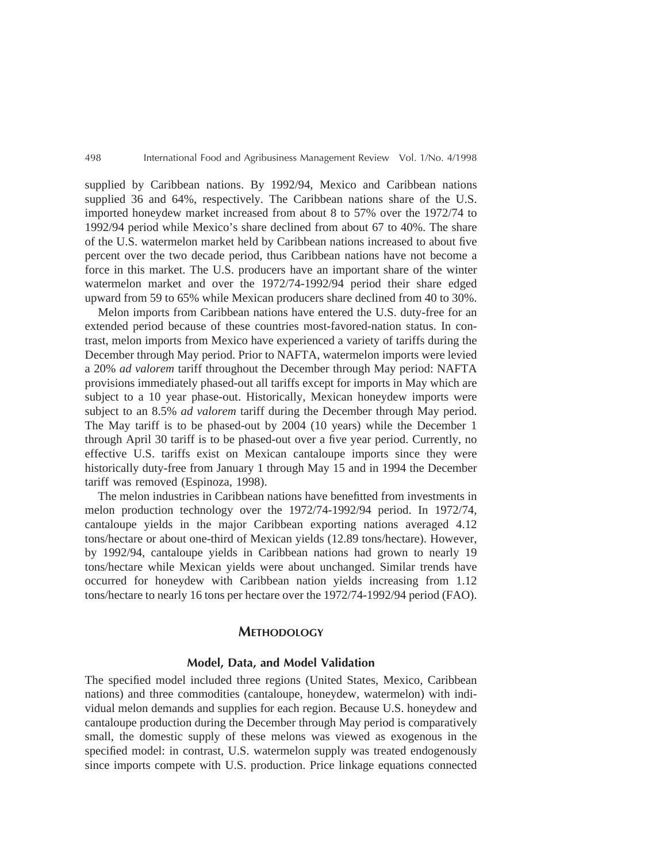supplied by Caribbean nations. By 1992/94, Mexico and Caribbean nations supplied 36 and 64%, respectively. The Caribbean nations share of the U.S. imported honeydew market increased from about 8 to 57% over the 1972/74 to 1992/94 period while Mexico's share declined from about 67 to 40%. The share of the U.S. watermelon market held by Caribbean nations increased to about five percent over the two decade period, thus Caribbean nations have not become a force in this market. The U.S. producers have an important share of the winter watermelon market and over the 1972/74-1992/94 period their share edged upward from 59 to 65% while Mexican producers share declined from 40 to 30%.

Melon imports from Caribbean nations have entered the U.S. duty-free for an extended period because of these countries most-favored-nation status. In contrast, melon imports from Mexico have experienced a variety of tariffs during the December through May period. Prior to NAFTA, watermelon imports were levied a 20% *ad valorem* tariff throughout the December through May period: NAFTA provisions immediately phased-out all tariffs except for imports in May which are subject to a 10 year phase-out. Historically, Mexican honeydew imports were subject to an 8.5% *ad valorem* tariff during the December through May period. The May tariff is to be phased-out by 2004 (10 years) while the December 1 through April 30 tariff is to be phased-out over a five year period. Currently, no effective U.S. tariffs exist on Mexican cantaloupe imports since they were historically duty-free from January 1 through May 15 and in 1994 the December tariff was removed (Espinoza, 1998).

The melon industries in Caribbean nations have benefitted from investments in melon production technology over the 1972/74-1992/94 period. In 1972/74, cantaloupe yields in the major Caribbean exporting nations averaged 4.12 tons/hectare or about one-third of Mexican yields (12.89 tons/hectare). However, by 1992/94, cantaloupe yields in Caribbean nations had grown to nearly 19 tons/hectare while Mexican yields were about unchanged. Similar trends have occurred for honeydew with Caribbean nation yields increasing from 1.12 tons/hectare to nearly 16 tons per hectare over the 1972/74-1992/94 period (FAO).

### **METHODOLOGY**

#### **Model, Data, and Model Validation**

The specified model included three regions (United States, Mexico, Caribbean nations) and three commodities (cantaloupe, honeydew, watermelon) with individual melon demands and supplies for each region. Because U.S. honeydew and cantaloupe production during the December through May period is comparatively small, the domestic supply of these melons was viewed as exogenous in the specified model: in contrast, U.S. watermelon supply was treated endogenously since imports compete with U.S. production. Price linkage equations connected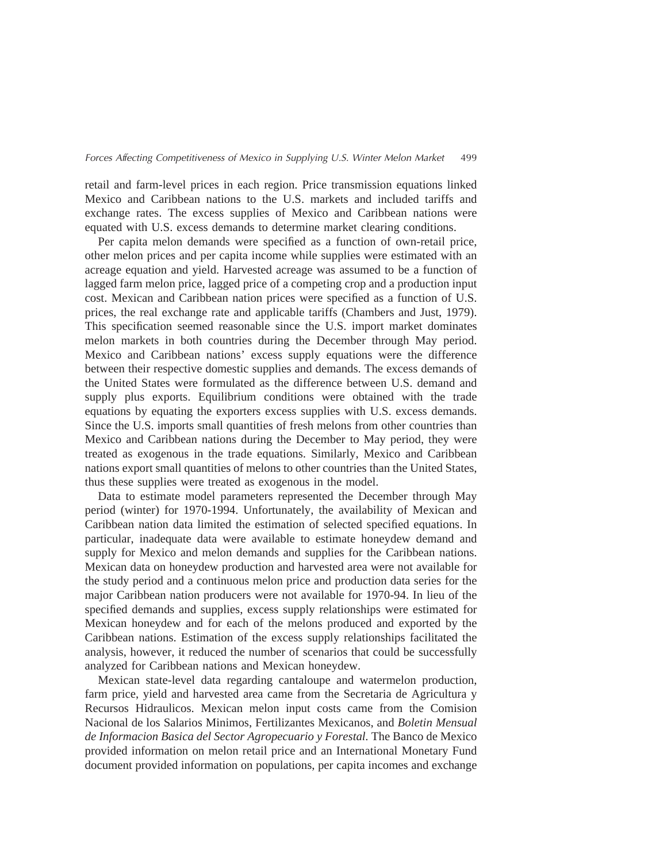retail and farm-level prices in each region. Price transmission equations linked Mexico and Caribbean nations to the U.S. markets and included tariffs and exchange rates. The excess supplies of Mexico and Caribbean nations were equated with U.S. excess demands to determine market clearing conditions.

Per capita melon demands were specified as a function of own-retail price, other melon prices and per capita income while supplies were estimated with an acreage equation and yield. Harvested acreage was assumed to be a function of lagged farm melon price, lagged price of a competing crop and a production input cost. Mexican and Caribbean nation prices were specified as a function of U.S. prices, the real exchange rate and applicable tariffs (Chambers and Just, 1979). This specification seemed reasonable since the U.S. import market dominates melon markets in both countries during the December through May period. Mexico and Caribbean nations' excess supply equations were the difference between their respective domestic supplies and demands. The excess demands of the United States were formulated as the difference between U.S. demand and supply plus exports. Equilibrium conditions were obtained with the trade equations by equating the exporters excess supplies with U.S. excess demands. Since the U.S. imports small quantities of fresh melons from other countries than Mexico and Caribbean nations during the December to May period, they were treated as exogenous in the trade equations. Similarly, Mexico and Caribbean nations export small quantities of melons to other countries than the United States, thus these supplies were treated as exogenous in the model.

Data to estimate model parameters represented the December through May period (winter) for 1970-1994. Unfortunately, the availability of Mexican and Caribbean nation data limited the estimation of selected specified equations. In particular, inadequate data were available to estimate honeydew demand and supply for Mexico and melon demands and supplies for the Caribbean nations. Mexican data on honeydew production and harvested area were not available for the study period and a continuous melon price and production data series for the major Caribbean nation producers were not available for 1970-94. In lieu of the specified demands and supplies, excess supply relationships were estimated for Mexican honeydew and for each of the melons produced and exported by the Caribbean nations. Estimation of the excess supply relationships facilitated the analysis, however, it reduced the number of scenarios that could be successfully analyzed for Caribbean nations and Mexican honeydew.

Mexican state-level data regarding cantaloupe and watermelon production, farm price, yield and harvested area came from the Secretaria de Agricultura y Recursos Hidraulicos. Mexican melon input costs came from the Comision Nacional de los Salarios Minimos, Fertilizantes Mexicanos, and *Boletin Mensual de Informacion Basica del Sector Agropecuario y Forestal.* The Banco de Mexico provided information on melon retail price and an International Monetary Fund document provided information on populations, per capita incomes and exchange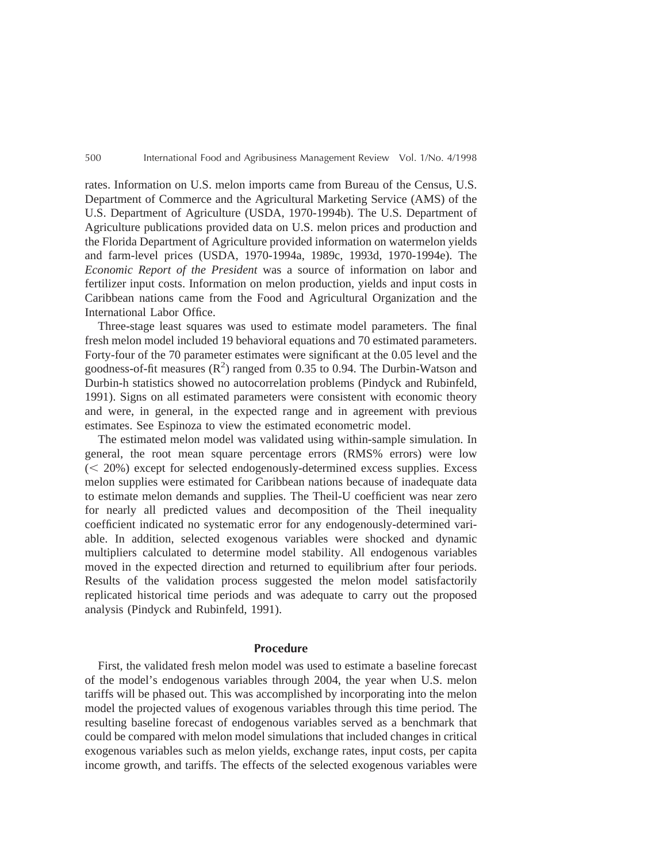rates. Information on U.S. melon imports came from Bureau of the Census, U.S. Department of Commerce and the Agricultural Marketing Service (AMS) of the U.S. Department of Agriculture (USDA, 1970-1994b). The U.S. Department of Agriculture publications provided data on U.S. melon prices and production and the Florida Department of Agriculture provided information on watermelon yields and farm-level prices (USDA, 1970-1994a, 1989c, 1993d, 1970-1994e). The *Economic Report of the President* was a source of information on labor and fertilizer input costs. Information on melon production, yields and input costs in Caribbean nations came from the Food and Agricultural Organization and the International Labor Office.

Three-stage least squares was used to estimate model parameters. The final fresh melon model included 19 behavioral equations and 70 estimated parameters. Forty-four of the 70 parameter estimates were significant at the 0.05 level and the goodness-of-fit measures  $(R^2)$  ranged from 0.35 to 0.94. The Durbin-Watson and Durbin-h statistics showed no autocorrelation problems (Pindyck and Rubinfeld, 1991). Signs on all estimated parameters were consistent with economic theory and were, in general, in the expected range and in agreement with previous estimates. See Espinoza to view the estimated econometric model.

The estimated melon model was validated using within-sample simulation. In general, the root mean square percentage errors (RMS% errors) were low  $(< 20\%)$  except for selected endogenously-determined excess supplies. Excess melon supplies were estimated for Caribbean nations because of inadequate data to estimate melon demands and supplies. The Theil-U coefficient was near zero for nearly all predicted values and decomposition of the Theil inequality coefficient indicated no systematic error for any endogenously-determined variable. In addition, selected exogenous variables were shocked and dynamic multipliers calculated to determine model stability. All endogenous variables moved in the expected direction and returned to equilibrium after four periods. Results of the validation process suggested the melon model satisfactorily replicated historical time periods and was adequate to carry out the proposed analysis (Pindyck and Rubinfeld, 1991).

## **Procedure**

First, the validated fresh melon model was used to estimate a baseline forecast of the model's endogenous variables through 2004, the year when U.S. melon tariffs will be phased out. This was accomplished by incorporating into the melon model the projected values of exogenous variables through this time period. The resulting baseline forecast of endogenous variables served as a benchmark that could be compared with melon model simulations that included changes in critical exogenous variables such as melon yields, exchange rates, input costs, per capita income growth, and tariffs. The effects of the selected exogenous variables were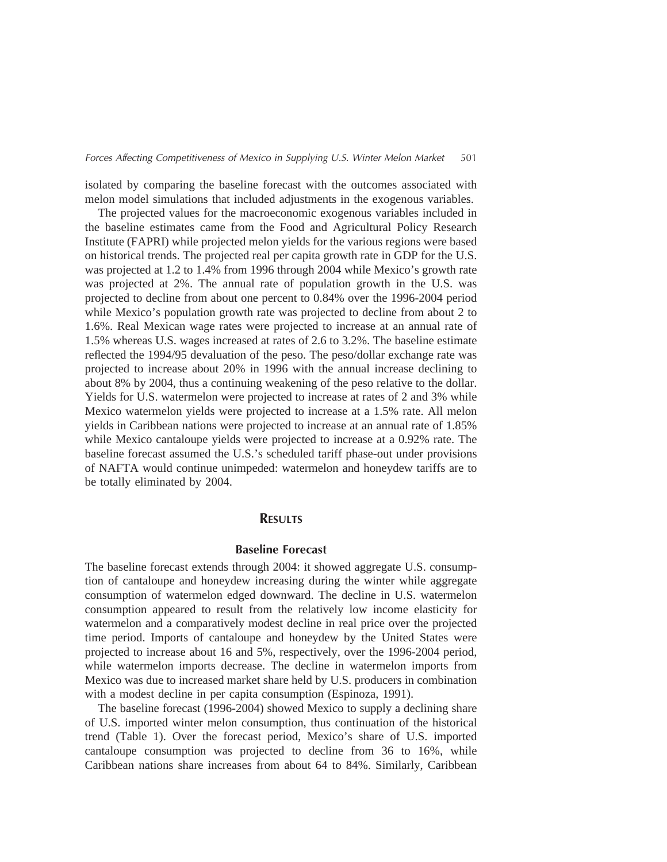isolated by comparing the baseline forecast with the outcomes associated with melon model simulations that included adjustments in the exogenous variables.

The projected values for the macroeconomic exogenous variables included in the baseline estimates came from the Food and Agricultural Policy Research Institute (FAPRI) while projected melon yields for the various regions were based on historical trends. The projected real per capita growth rate in GDP for the U.S. was projected at 1.2 to 1.4% from 1996 through 2004 while Mexico's growth rate was projected at 2%. The annual rate of population growth in the U.S. was projected to decline from about one percent to 0.84% over the 1996-2004 period while Mexico's population growth rate was projected to decline from about 2 to 1.6%. Real Mexican wage rates were projected to increase at an annual rate of 1.5% whereas U.S. wages increased at rates of 2.6 to 3.2%. The baseline estimate reflected the 1994/95 devaluation of the peso. The peso/dollar exchange rate was projected to increase about 20% in 1996 with the annual increase declining to about 8% by 2004, thus a continuing weakening of the peso relative to the dollar. Yields for U.S. watermelon were projected to increase at rates of 2 and 3% while Mexico watermelon yields were projected to increase at a 1.5% rate. All melon yields in Caribbean nations were projected to increase at an annual rate of 1.85% while Mexico cantaloupe yields were projected to increase at a 0.92% rate. The baseline forecast assumed the U.S.'s scheduled tariff phase-out under provisions of NAFTA would continue unimpeded: watermelon and honeydew tariffs are to be totally eliminated by 2004.

## **RESULTS**

## **Baseline Forecast**

The baseline forecast extends through 2004: it showed aggregate U.S. consumption of cantaloupe and honeydew increasing during the winter while aggregate consumption of watermelon edged downward. The decline in U.S. watermelon consumption appeared to result from the relatively low income elasticity for watermelon and a comparatively modest decline in real price over the projected time period. Imports of cantaloupe and honeydew by the United States were projected to increase about 16 and 5%, respectively, over the 1996-2004 period, while watermelon imports decrease. The decline in watermelon imports from Mexico was due to increased market share held by U.S. producers in combination with a modest decline in per capita consumption (Espinoza, 1991).

The baseline forecast (1996-2004) showed Mexico to supply a declining share of U.S. imported winter melon consumption, thus continuation of the historical trend (Table 1). Over the forecast period, Mexico's share of U.S. imported cantaloupe consumption was projected to decline from 36 to 16%, while Caribbean nations share increases from about 64 to 84%. Similarly, Caribbean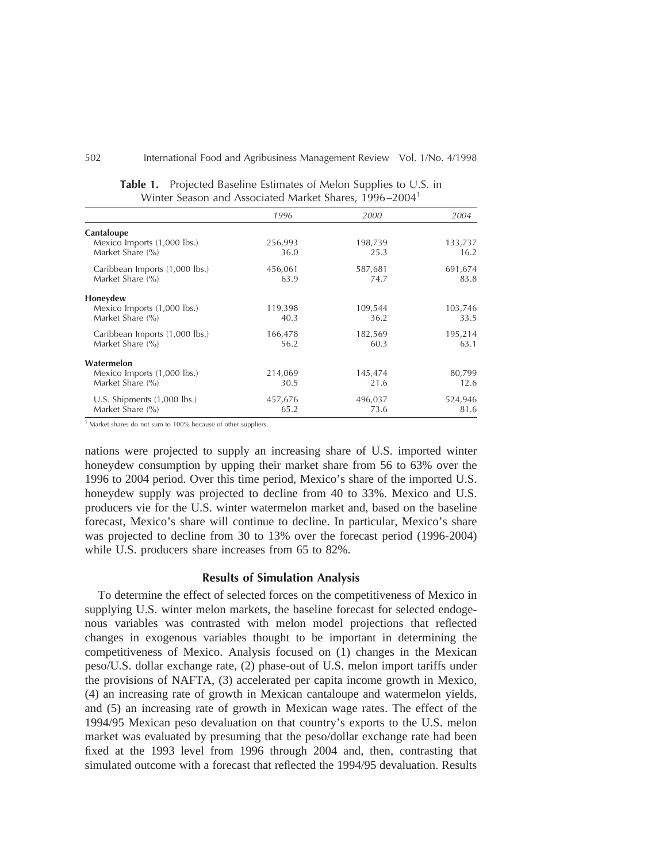|                                | 1996    | 2000    | 2004    |
|--------------------------------|---------|---------|---------|
| Cantaloupe                     |         |         |         |
| Mexico Imports (1,000 lbs.)    | 256,993 | 198,739 | 133,737 |
| Market Share (%)               | 36.0    | 25.3    | 16.2    |
| Caribbean Imports (1,000 lbs.) | 456,061 | 587,681 | 691,674 |
| Market Share (%)               | 63.9    | 74.7    | 83.8    |
| Honeydew                       |         |         |         |
| Mexico Imports (1,000 lbs.)    | 119,398 | 109,544 | 103,746 |
| Market Share (%)               | 40.3    | 36.2    | 33.5    |
| Caribbean Imports (1,000 lbs.) | 166,478 | 182,569 | 195,214 |
| Market Share (%)               | 56.2    | 60.3    | 63.1    |
| Watermelon                     |         |         |         |
| Mexico Imports (1,000 lbs.)    | 214,069 | 145,474 | 80,799  |
| Market Share (%)               | 30.5    | 21.6    | 12.6    |
| U.S. Shipments (1,000 lbs.)    | 457,676 | 496,037 | 524,946 |
| Market Share (%)               | 65.2    | 73.6    | 81.6    |

Table 1. Projected Baseline Estimates of Melon Supplies to U.S. in Winter Season and Associated Market Shares, 1996–2004<sup>1</sup>

 $<sup>1</sup>$  Market shares do not sum to 100% because of other suppliers.</sup>

nations were projected to supply an increasing share of U.S. imported winter honeydew consumption by upping their market share from 56 to 63% over the 1996 to 2004 period. Over this time period, Mexico's share of the imported U.S. honeydew supply was projected to decline from 40 to 33%. Mexico and U.S. producers vie for the U.S. winter watermelon market and, based on the baseline forecast, Mexico's share will continue to decline. In particular, Mexico's share was projected to decline from 30 to 13% over the forecast period (1996-2004) while U.S. producers share increases from 65 to 82%.

#### **Results of Simulation Analysis**

To determine the effect of selected forces on the competitiveness of Mexico in supplying U.S. winter melon markets, the baseline forecast for selected endogenous variables was contrasted with melon model projections that reflected changes in exogenous variables thought to be important in determining the competitiveness of Mexico. Analysis focused on (1) changes in the Mexican peso/U.S. dollar exchange rate, (2) phase-out of U.S. melon import tariffs under the provisions of NAFTA, (3) accelerated per capita income growth in Mexico, (4) an increasing rate of growth in Mexican cantaloupe and watermelon yields, and (5) an increasing rate of growth in Mexican wage rates. The effect of the 1994/95 Mexican peso devaluation on that country's exports to the U.S. melon market was evaluated by presuming that the peso/dollar exchange rate had been fixed at the 1993 level from 1996 through 2004 and, then, contrasting that simulated outcome with a forecast that reflected the 1994/95 devaluation. Results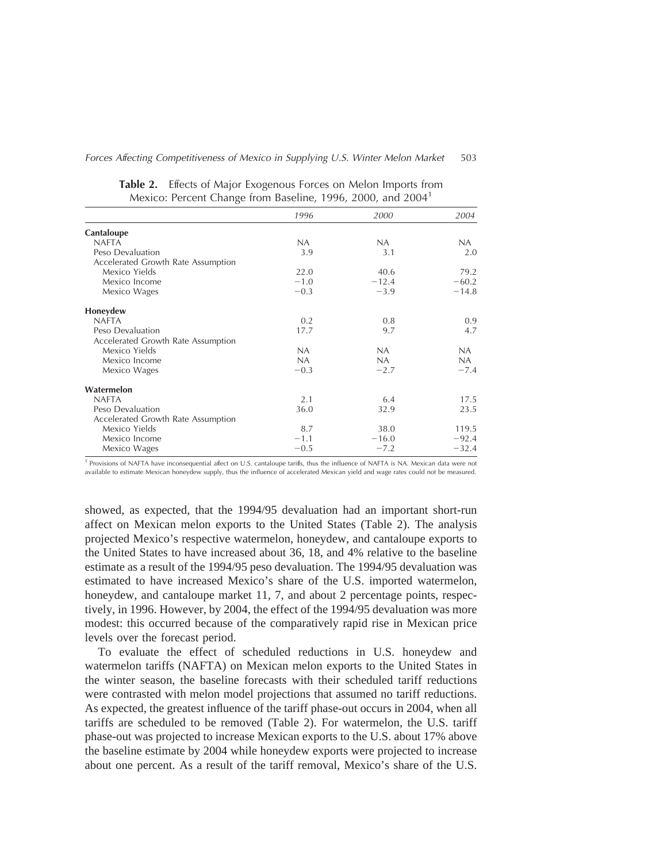|                                    | 1996   | 2000    | 2004    |
|------------------------------------|--------|---------|---------|
| Cantaloupe                         |        |         |         |
| <b>NAFTA</b>                       | NA.    | NA.     | NA.     |
| Peso Devaluation                   | 3.9    | 3.1     | 2.0     |
| Accelerated Growth Rate Assumption |        |         |         |
| Mexico Yields                      | 22.0   | 40.6    | 79.2    |
| Mexico Income                      | $-1.0$ | $-12.4$ | $-60.2$ |
| Mexico Wages                       | $-0.3$ | $-3.9$  | $-14.8$ |
| Honeydew                           |        |         |         |
| <b>NAFTA</b>                       | 0.2    | 0.8     | 0.9     |
| Peso Devaluation                   | 17.7   | 9.7     | 4.7     |
| Accelerated Growth Rate Assumption |        |         |         |
| Mexico Yields                      | NA     | NA.     | NA      |
| Mexico Income                      | NA     | NA.     | NA      |
| Mexico Wages                       | $-0.3$ | $-2.7$  | $-7.4$  |
| Watermelon                         |        |         |         |
| <b>NAFTA</b>                       | 2.1    | 6.4     | 17.5    |
| Peso Devaluation                   | 36.0   | 32.9    | 23.5    |
| Accelerated Growth Rate Assumption |        |         |         |
| Mexico Yields                      | 8.7    | 38.0    | 119.5   |
| Mexico Income                      | $-1.1$ | $-16.0$ | $-92.4$ |
| Mexico Wages                       | $-0.5$ | $-7.2$  | $-32.4$ |

**Table 2.** Effects of Major Exogenous Forces on Melon Imports from Mexico: Percent Change from Baseline, 1996, 2000, and 2004<sup>1</sup>

<sup>1</sup> Provisions of NAFTA have inconsequential affect on U.S. cantaloupe tariffs, thus the influence of NAFTA is NA. Mexican data were not available to estimate Mexican honeydew supply, thus the influence of accelerated Mexican yield and wage rates could not be measured.

showed, as expected, that the 1994/95 devaluation had an important short-run affect on Mexican melon exports to the United States (Table 2). The analysis projected Mexico's respective watermelon, honeydew, and cantaloupe exports to the United States to have increased about 36, 18, and 4% relative to the baseline estimate as a result of the 1994/95 peso devaluation. The 1994/95 devaluation was estimated to have increased Mexico's share of the U.S. imported watermelon, honeydew, and cantaloupe market 11, 7, and about 2 percentage points, respectively, in 1996. However, by 2004, the effect of the 1994/95 devaluation was more modest: this occurred because of the comparatively rapid rise in Mexican price levels over the forecast period.

To evaluate the effect of scheduled reductions in U.S. honeydew and watermelon tariffs (NAFTA) on Mexican melon exports to the United States in the winter season, the baseline forecasts with their scheduled tariff reductions were contrasted with melon model projections that assumed no tariff reductions. As expected, the greatest influence of the tariff phase-out occurs in 2004, when all tariffs are scheduled to be removed (Table 2). For watermelon, the U.S. tariff phase-out was projected to increase Mexican exports to the U.S. about 17% above the baseline estimate by 2004 while honeydew exports were projected to increase about one percent. As a result of the tariff removal, Mexico's share of the U.S.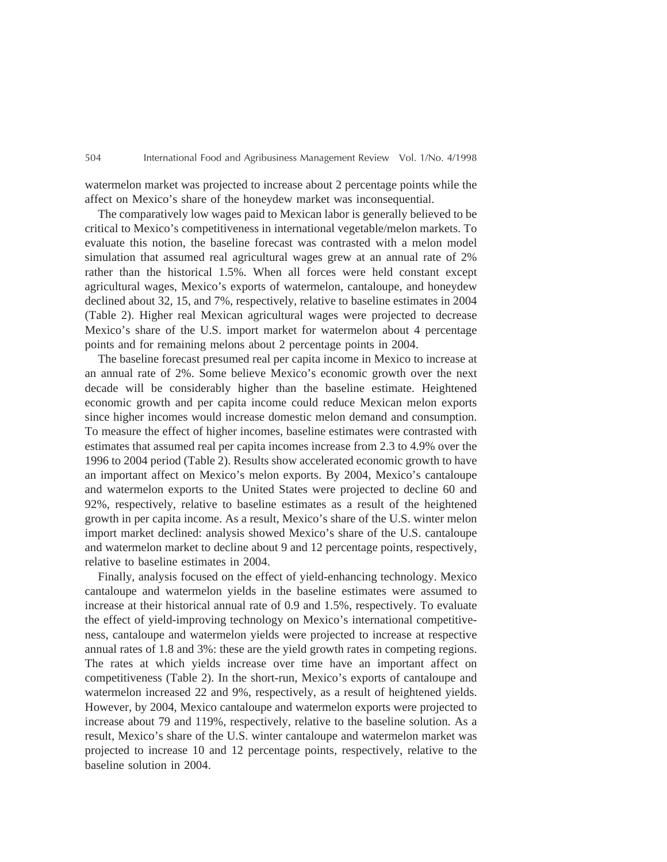watermelon market was projected to increase about 2 percentage points while the affect on Mexico's share of the honeydew market was inconsequential.

The comparatively low wages paid to Mexican labor is generally believed to be critical to Mexico's competitiveness in international vegetable/melon markets. To evaluate this notion, the baseline forecast was contrasted with a melon model simulation that assumed real agricultural wages grew at an annual rate of 2% rather than the historical 1.5%. When all forces were held constant except agricultural wages, Mexico's exports of watermelon, cantaloupe, and honeydew declined about 32, 15, and 7%, respectively, relative to baseline estimates in 2004 (Table 2). Higher real Mexican agricultural wages were projected to decrease Mexico's share of the U.S. import market for watermelon about 4 percentage points and for remaining melons about 2 percentage points in 2004.

The baseline forecast presumed real per capita income in Mexico to increase at an annual rate of 2%. Some believe Mexico's economic growth over the next decade will be considerably higher than the baseline estimate. Heightened economic growth and per capita income could reduce Mexican melon exports since higher incomes would increase domestic melon demand and consumption. To measure the effect of higher incomes, baseline estimates were contrasted with estimates that assumed real per capita incomes increase from 2.3 to 4.9% over the 1996 to 2004 period (Table 2). Results show accelerated economic growth to have an important affect on Mexico's melon exports. By 2004, Mexico's cantaloupe and watermelon exports to the United States were projected to decline 60 and 92%, respectively, relative to baseline estimates as a result of the heightened growth in per capita income. As a result, Mexico's share of the U.S. winter melon import market declined: analysis showed Mexico's share of the U.S. cantaloupe and watermelon market to decline about 9 and 12 percentage points, respectively, relative to baseline estimates in 2004.

Finally, analysis focused on the effect of yield-enhancing technology. Mexico cantaloupe and watermelon yields in the baseline estimates were assumed to increase at their historical annual rate of 0.9 and 1.5%, respectively. To evaluate the effect of yield-improving technology on Mexico's international competitiveness, cantaloupe and watermelon yields were projected to increase at respective annual rates of 1.8 and 3%: these are the yield growth rates in competing regions. The rates at which yields increase over time have an important affect on competitiveness (Table 2). In the short-run, Mexico's exports of cantaloupe and watermelon increased 22 and 9%, respectively, as a result of heightened yields. However, by 2004, Mexico cantaloupe and watermelon exports were projected to increase about 79 and 119%, respectively, relative to the baseline solution. As a result, Mexico's share of the U.S. winter cantaloupe and watermelon market was projected to increase 10 and 12 percentage points, respectively, relative to the baseline solution in 2004.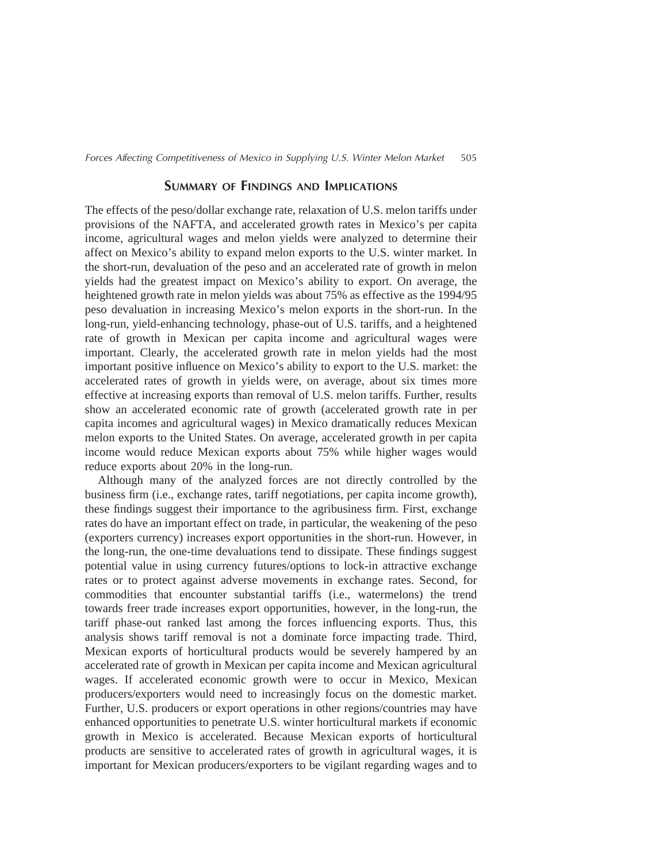# **SUMMARY OF FINDINGS AND IMPLICATIONS**

The effects of the peso/dollar exchange rate, relaxation of U.S. melon tariffs under provisions of the NAFTA, and accelerated growth rates in Mexico's per capita income, agricultural wages and melon yields were analyzed to determine their affect on Mexico's ability to expand melon exports to the U.S. winter market. In the short-run, devaluation of the peso and an accelerated rate of growth in melon yields had the greatest impact on Mexico's ability to export. On average, the heightened growth rate in melon yields was about 75% as effective as the 1994/95 peso devaluation in increasing Mexico's melon exports in the short-run. In the long-run, yield-enhancing technology, phase-out of U.S. tariffs, and a heightened rate of growth in Mexican per capita income and agricultural wages were important. Clearly, the accelerated growth rate in melon yields had the most important positive influence on Mexico's ability to export to the U.S. market: the accelerated rates of growth in yields were, on average, about six times more effective at increasing exports than removal of U.S. melon tariffs. Further, results show an accelerated economic rate of growth (accelerated growth rate in per capita incomes and agricultural wages) in Mexico dramatically reduces Mexican melon exports to the United States. On average, accelerated growth in per capita income would reduce Mexican exports about 75% while higher wages would reduce exports about 20% in the long-run.

Although many of the analyzed forces are not directly controlled by the business firm (i.e., exchange rates, tariff negotiations, per capita income growth), these findings suggest their importance to the agribusiness firm. First, exchange rates do have an important effect on trade, in particular, the weakening of the peso (exporters currency) increases export opportunities in the short-run. However, in the long-run, the one-time devaluations tend to dissipate. These findings suggest potential value in using currency futures/options to lock-in attractive exchange rates or to protect against adverse movements in exchange rates. Second, for commodities that encounter substantial tariffs (i.e., watermelons) the trend towards freer trade increases export opportunities, however, in the long-run, the tariff phase-out ranked last among the forces influencing exports. Thus, this analysis shows tariff removal is not a dominate force impacting trade. Third, Mexican exports of horticultural products would be severely hampered by an accelerated rate of growth in Mexican per capita income and Mexican agricultural wages. If accelerated economic growth were to occur in Mexico, Mexican producers/exporters would need to increasingly focus on the domestic market. Further, U.S. producers or export operations in other regions/countries may have enhanced opportunities to penetrate U.S. winter horticultural markets if economic growth in Mexico is accelerated. Because Mexican exports of horticultural products are sensitive to accelerated rates of growth in agricultural wages, it is important for Mexican producers/exporters to be vigilant regarding wages and to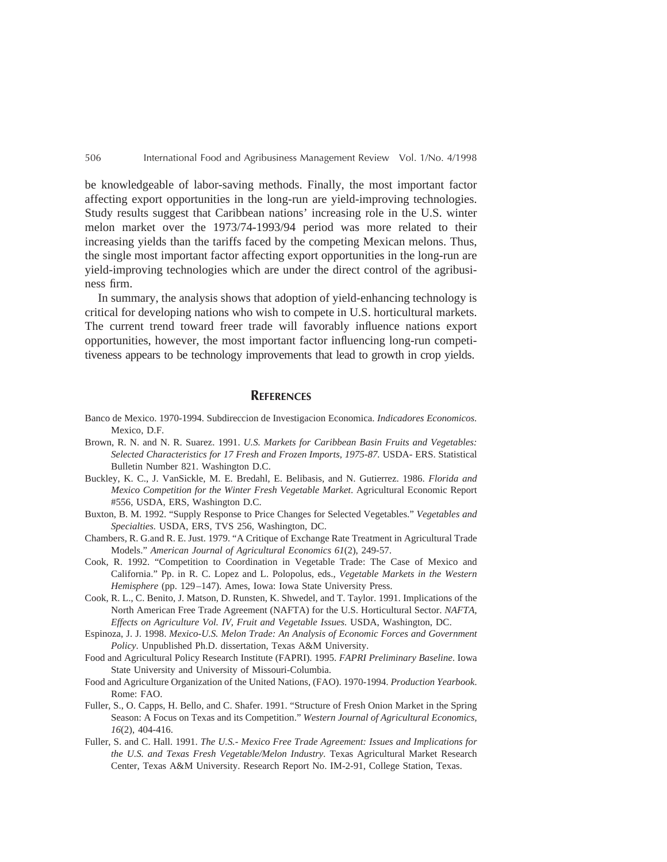be knowledgeable of labor-saving methods. Finally, the most important factor affecting export opportunities in the long-run are yield-improving technologies. Study results suggest that Caribbean nations' increasing role in the U.S. winter melon market over the 1973/74-1993/94 period was more related to their increasing yields than the tariffs faced by the competing Mexican melons. Thus, the single most important factor affecting export opportunities in the long-run are yield-improving technologies which are under the direct control of the agribusiness firm.

In summary, the analysis shows that adoption of yield-enhancing technology is critical for developing nations who wish to compete in U.S. horticultural markets. The current trend toward freer trade will favorably influence nations export opportunities, however, the most important factor influencing long-run competitiveness appears to be technology improvements that lead to growth in crop yields.

### **REFERENCES**

- Banco de Mexico. 1970-1994. Subdireccion de Investigacion Economica. *Indicadores Economicos.* Mexico, D.F.
- Brown, R. N. and N. R. Suarez. 1991. *U.S. Markets for Caribbean Basin Fruits and Vegetables: Selected Characteristics for 17 Fresh and Frozen Imports, 1975-87.* USDA- ERS. Statistical Bulletin Number 821. Washington D.C.
- Buckley, K. C., J. VanSickle, M. E. Bredahl, E. Belibasis, and N. Gutierrez. 1986. *Florida and Mexico Competition for the Winter Fresh Vegetable Market*. Agricultural Economic Report #556, USDA, ERS, Washington D.C.
- Buxton, B. M. 1992. "Supply Response to Price Changes for Selected Vegetables." *Vegetables and Specialties.* USDA, ERS, TVS 256, Washington, DC.
- Chambers, R. G.and R. E. Just. 1979. "A Critique of Exchange Rate Treatment in Agricultural Trade Models." *American Journal of Agricultural Economics 61*(2), 249-57.
- Cook, R. 1992. "Competition to Coordination in Vegetable Trade: The Case of Mexico and California." Pp. in R. C. Lopez and L. Polopolus, eds., *Vegetable Markets in the Western Hemisphere* (pp. 129–147). Ames, Iowa: Iowa State University Press.
- Cook, R. L., C. Benito, J. Matson, D. Runsten, K. Shwedel, and T. Taylor. 1991. Implications of the North American Free Trade Agreement (NAFTA) for the U.S. Horticultural Sector. *NAFTA, Effects on Agriculture Vol. IV, Fruit and Vegetable Issues.* USDA, Washington, DC.
- Espinoza, J. J. 1998. *Mexico-U.S. Melon Trade: An Analysis of Economic Forces and Government Policy*. Unpublished Ph.D. dissertation, Texas A&M University.
- Food and Agricultural Policy Research Institute (FAPRI). 1995. *FAPRI Preliminary Baseline*. Iowa State University and University of Missouri-Columbia.
- Food and Agriculture Organization of the United Nations, (FAO). 1970-1994. *Production Yearbook*. Rome: FAO.
- Fuller, S., O. Capps, H. Bello, and C. Shafer. 1991. "Structure of Fresh Onion Market in the Spring Season: A Focus on Texas and its Competition." *Western Journal of Agricultural Economics, 16*(2), 404-416.
- Fuller, S. and C. Hall. 1991. *The U.S.- Mexico Free Trade Agreement: Issues and Implications for the U.S. and Texas Fresh Vegetable/Melon Industry.* Texas Agricultural Market Research Center, Texas A&M University. Research Report No. IM-2-91, College Station, Texas.